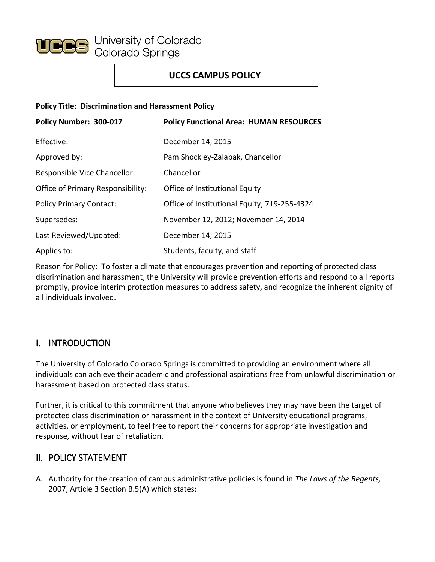

## **UCCS CAMPUS POLICY**

#### **Policy Title: Discrimination and Harassment Policy**

| Policy Number: 300-017            | <b>Policy Functional Area: HUMAN RESOURCES</b> |
|-----------------------------------|------------------------------------------------|
| Effective:                        | December 14, 2015                              |
| Approved by:                      | Pam Shockley-Zalabak, Chancellor               |
| Responsible Vice Chancellor:      | Chancellor                                     |
| Office of Primary Responsibility: | Office of Institutional Equity                 |
| <b>Policy Primary Contact:</b>    | Office of Institutional Equity, 719-255-4324   |
| Supersedes:                       | November 12, 2012; November 14, 2014           |
| Last Reviewed/Updated:            | December 14, 2015                              |
| Applies to:                       | Students, faculty, and staff                   |

Reason for Policy: To foster a climate that encourages prevention and reporting of protected class discrimination and harassment, the University will provide prevention efforts and respond to all reports promptly, provide interim protection measures to address safety, and recognize the inherent dignity of all individuals involved.

# I. INTRODUCTION

The University of Colorado Colorado Springs is committed to providing an environment where all individuals can achieve their academic and professional aspirations free from unlawful discrimination or harassment based on protected class status.

Further, it is critical to this commitment that anyone who believes they may have been the target of protected class discrimination or harassment in the context of University educational programs, activities, or employment, to feel free to report their concerns for appropriate investigation and response, without fear of retaliation.

### II. POLICY STATEMENT

A. Authority for the creation of campus administrative policies is found in *The Laws of the Regents,* 2007, Article 3 Section B.5(A) which states: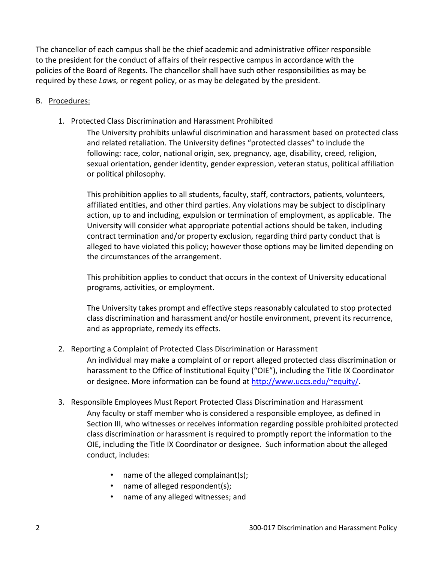The chancellor of each campus shall be the chief academic and administrative officer responsible to the president for the conduct of affairs of their respective campus in accordance with the policies of the Board of Regents. The chancellor shall have such other responsibilities as may be required by these *Laws,* or regent policy, or as may be delegated by the president.

### B. Procedures:

1. Protected Class Discrimination and Harassment Prohibited

The University prohibits unlawful discrimination and harassment based on protected class and related retaliation. The University defines "protected classes" to include the following: race, color, national origin, sex, pregnancy, age, disability, creed, religion, sexual orientation, gender identity, gender expression, veteran status, political affiliation or political philosophy.

This prohibition applies to all students, faculty, staff, contractors, patients, volunteers, affiliated entities, and other third parties. Any violations may be subject to disciplinary action, up to and including, expulsion or termination of employment, as applicable. The University will consider what appropriate potential actions should be taken, including contract termination and/or property exclusion, regarding third party conduct that is alleged to have violated this policy; however those options may be limited depending on the circumstances of the arrangement.

This prohibition applies to conduct that occurs in the context of University educational programs, activities, or employment.

The University takes prompt and effective steps reasonably calculated to stop protected class discrimination and harassment and/or hostile environment, prevent its recurrence, and as appropriate, remedy its effects.

2. Reporting a Complaint of Protected Class Discrimination or Harassment

An individual may make a complaint of or report alleged protected class discrimination or harassment to the Office of Institutional Equity ("OIE"), including the Title IX Coordinator or designee. More information can be found at http://www.uccs.edu/~equity/.

- 3. Responsible Employees Must Report Protected Class Discrimination and Harassment
	- Any faculty or staff member who is considered a responsible employee, as defined in Section III, who witnesses or receives information regarding possible prohibited protected class discrimination or harassment is required to promptly report the information to the OIE, including the Title IX Coordinator or designee. Such information about the alleged conduct, includes:
		- name of the alleged complainant(s);
		- name of alleged respondent(s);
		- name of any alleged witnesses; and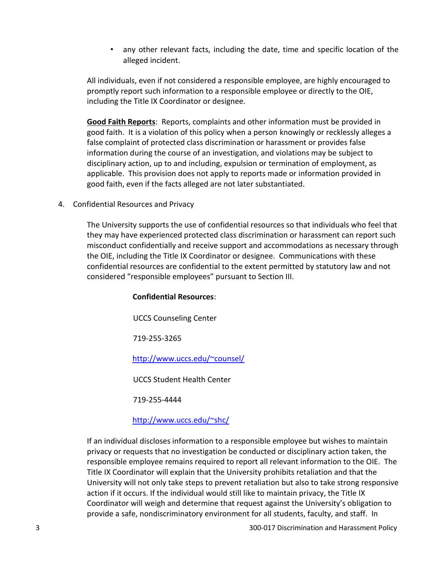• any other relevant facts, including the date, time and specific location of the alleged incident.

All individuals, even if not considered a responsible employee, are highly encouraged to promptly report such information to a responsible employee or directly to the OIE, including the Title IX Coordinator or designee.

**Good Faith Reports**: Reports, complaints and other information must be provided in good faith. It is a violation of this policy when a person knowingly or recklessly alleges a false complaint of protected class discrimination or harassment or provides false information during the course of an investigation, and violations may be subject to disciplinary action, up to and including, expulsion or termination of employment, as applicable. This provision does not apply to reports made or information provided in good faith, even if the facts alleged are not later substantiated.

4. Confidential Resources and Privacy

The University supports the use of confidential resources so that individuals who feel that they may have experienced protected class discrimination or harassment can report such misconduct confidentially and receive support and accommodations as necessary through the OIE, including the Title IX Coordinator or designee. Communications with these confidential resources are confidential to the extent permitted by statutory law and not considered "responsible employees" pursuant to Section III.

#### **Confidential Resources**:

UCCS Counseling Center

719-255-3265

<http://www.uccs.edu/~counsel/>

UCCS Student Health Center

719-255-4444

#### <http://www.uccs.edu/~shc/>

If an individual discloses information to a responsible employee but wishes to maintain privacy or requests that no investigation be conducted or disciplinary action taken, the responsible employee remains required to report all relevant information to the OIE. The Title IX Coordinator will explain that the University prohibits retaliation and that the University will not only take steps to prevent retaliation but also to take strong responsive action if it occurs. If the individual would still like to maintain privacy, the Title IX Coordinator will weigh and determine that request against the University's obligation to provide a safe, nondiscriminatory environment for all students, faculty, and staff. In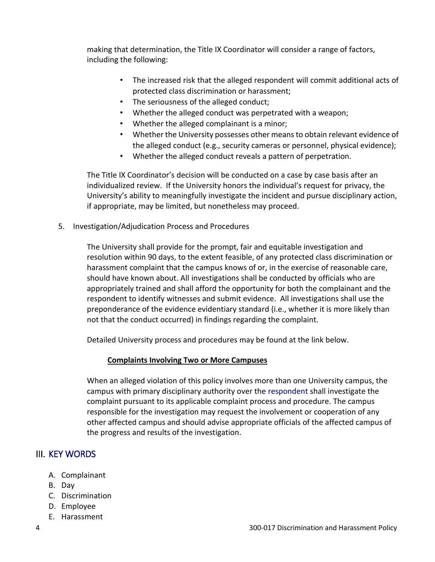making that determination, the Title IX Coordinator will consider a range of factors, including the following:

- The increased risk that the alleged respondent will commit additional acts of protected class discrimination or harassment;
- The seriousness of the alleged conduct;
- Whether the alleged conduct was perpetrated with a weapon;
- Whether the alleged complainant is a minor;
- Whether the University possesses other means to obtain relevant evidence of the alleged conduct (e.g., security cameras or personnel, physical evidence);
- Whether the alleged conduct reveals a pattern of perpetration.

The Title IX Coordinator's decision will be conducted on a case by case basis after an individualized review. If the University honors the individual's request for privacy, the University's ability to meaningfully investigate the incident and pursue disciplinary action, if appropriate, may be limited, but nonetheless may proceed.

5. Investigation/Adjudication Process and Procedures

The University shall provide for the prompt, fair and equitable investigation and resolution within 90 days, to the extent feasible, of any protected class discrimination or harassment complaint that the campus knows of or, in the exercise of reasonable care, should have known about. All investigations shall be conducted by officials who are appropriately trained and shall afford the opportunity for both the complainant and the respondent to identify witnesses and submit evidence. All investigations shall use the preponderance of the evidence evidentiary standard (i.e., whether it is more likely than not that the conduct occurred) in findings regarding the complaint.

Detailed University process and procedures may be found at the link below.

### **Complaints Involving Two or More Campuses**

When an alleged violation of this policy involves more than one University campus, the campus with primary disciplinary authority over the respondent shall investigate the complaint pursuant to its applicable complaint process and procedure. The campus responsible for the investigation may request the involvement or cooperation of any other affected campus and should advise appropriate officials of the affected campus of the progress and results of the investigation.

# III. [KEY WORDS](http://www.uccs.edu/vcaf/policies/uccs/campus-policies-dictionary.html#I)

- A. Complainant
- B. Day
- C. Discrimination
- D. Employee
- E. Harassment